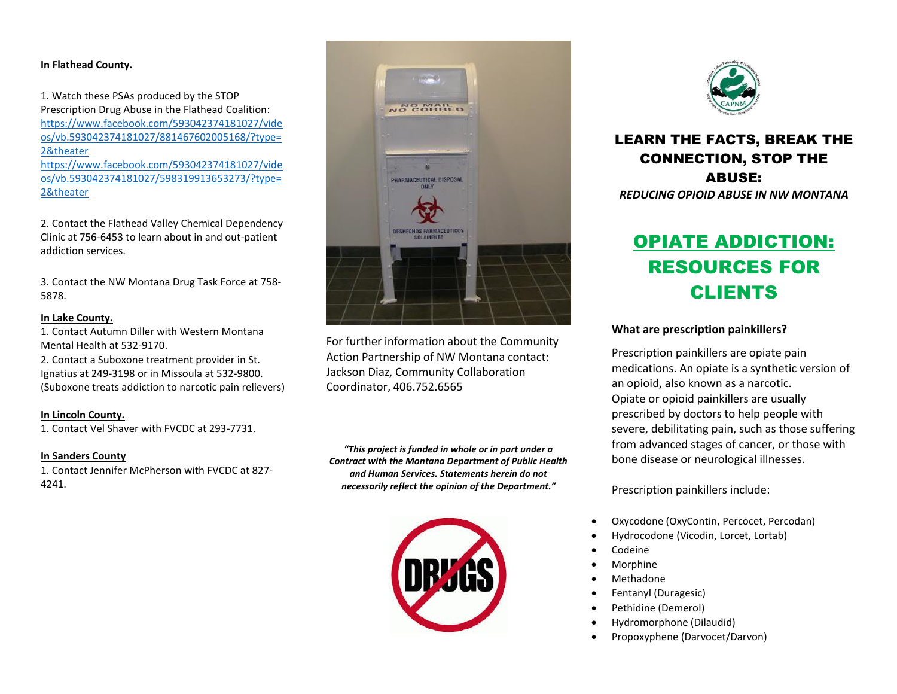## **In Flathead County.**

1. Watch these PSAs produced by the STOP Prescription Drug Abuse in the Flathead Coalition: [https://www.facebook.com/593042374181027/vide](https://www.facebook.com/593042374181027/videos/vb.593042374181027/881467602005168/?type=2&theater) [os/vb.593042374181027/881467602005168/?type=](https://www.facebook.com/593042374181027/videos/vb.593042374181027/881467602005168/?type=2&theater) [2&theater](https://www.facebook.com/593042374181027/videos/vb.593042374181027/881467602005168/?type=2&theater) [https://www.facebook.com/593042374181027/vide](https://www.facebook.com/593042374181027/videos/vb.593042374181027/598319913653273/?type=2&theater) [os/vb.593042374181027/598319913653273/?type=](https://www.facebook.com/593042374181027/videos/vb.593042374181027/598319913653273/?type=2&theater) [2&theater](https://www.facebook.com/593042374181027/videos/vb.593042374181027/598319913653273/?type=2&theater)

2. Contact the Flathead Valley Chemical Dependency Clinic at 756-6453 to learn about in and out-patient addiction services.

3. Contact the NW Montana Drug Task Force at 758- 5878.

### **In Lake County.**

1. Contact Autumn Diller with Western Montana Mental Health at 532-9170. 2. Contact a Suboxone treatment provider in St.

Ignatius at 249-3198 or in Missoula at 532-9800. (Suboxone treats addiction to narcotic pain relievers)

### **In Lincoln County.**

1. Contact Vel Shaver with FVCDC at 293-7731.

## **In Sanders County**

1. Contact Jennifer McPherson with FVCDC at 827- 4241.



For further information about the Community Action Partnership of NW Montana contact: Jackson Diaz, Community Collaboration Coordinator, 406.752.6565

*"This project is funded in whole or in part under a Contract with the Montana Department of Public Health and Human Services. Statements herein do not necessarily reflect the opinion of the Department."*





## LEARN THE FACTS, BREAK THE CONNECTION, STOP THE ABUSE: *REDUCING OPIOID ABUSE IN NW MONTANA*

# OPIATE ADDICTION: RESOURCES FOR CLIENTS

## **What are prescription painkillers?**

Prescription painkillers are opiate pain medications. An opiate is a synthetic version of an opioid, also known as a narcotic. Opiate or opioid painkillers are usually prescribed by doctors to help people with severe, debilitating pain, such as those suffering from advanced stages of cancer, or those with bone disease or neurological illnesses.

Prescription painkillers include:

- Oxycodone (OxyContin, Percocet, Percodan)
- Hydrocodone (Vicodin, Lorcet, Lortab)
- Codeine
- Morphine
- Methadone
- Fentanyl (Duragesic)
- Pethidine (Demerol)
- Hydromorphone (Dilaudid)
- Propoxyphene (Darvocet/Darvon)